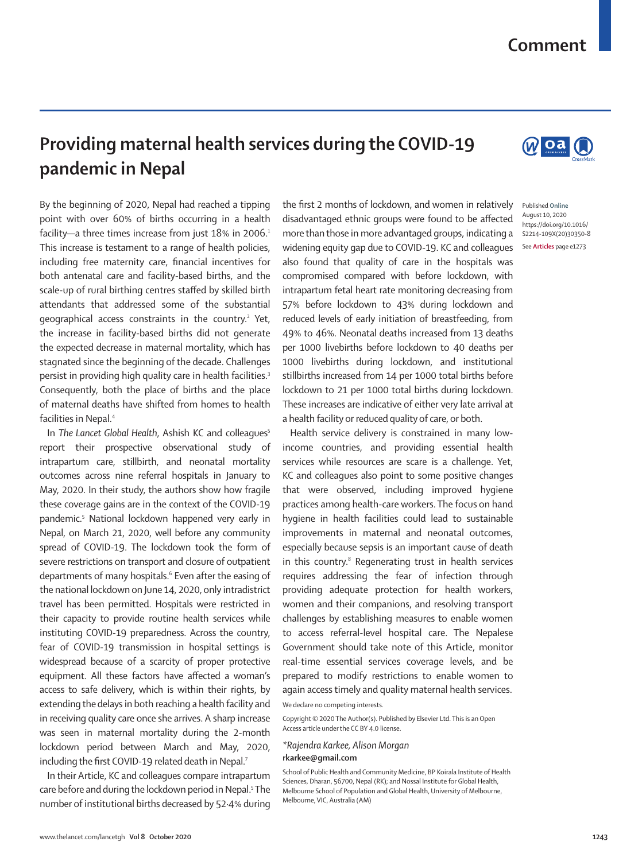## **Comment**

## **Providing maternal health services during the COVID-19 pandemic in Nepal**

By the beginning of 2020, Nepal had reached a tipping point with over 60% of births occurring in a health facility—a three times increase from just 18% in 2006.<sup>1</sup> This increase is testament to a range of health policies, including free maternity care, financial incentives for both antenatal care and facility-based births, and the scale-up of rural birthing centres staffed by skilled birth attendants that addressed some of the substantial geographical access constraints in the country.<sup>2</sup> Yet, the increase in facility-based births did not generate the expected decrease in maternal mortality, which has stagnated since the beginning of the decade. Challenges persist in providing high quality care in health facilities.<sup>3</sup> Consequently, both the place of births and the place of maternal deaths have shifted from homes to health facilities in Nepal.4

In *The Lancet Global Health*, Ashish KC and colleagues<sup>5</sup> report their prospective observational study of intrapartum care, stillbirth, and neonatal mortality outcomes across nine referral hospitals in January to May, 2020. In their study, the authors show how fragile these coverage gains are in the context of the COVID-19 pandemic.5 National lockdown happened very early in Nepal, on March 21, 2020, well before any community spread of COVID-19. The lockdown took the form of severe restrictions on transport and closure of outpatient departments of many hospitals.<sup>6</sup> Even after the easing of the national lockdown on June 14, 2020, only intradistrict travel has been permitted. Hospitals were restricted in their capacity to provide routine health services while instituting COVID-19 preparedness. Across the country, fear of COVID-19 transmission in hospital settings is widespread because of a scarcity of proper protective equipment. All these factors have affected a woman's access to safe delivery, which is within their rights, by extending the delays in both reaching a health facility and in receiving quality care once she arrives. A sharp increase was seen in maternal mortality during the 2-month lockdown period between March and May, 2020, including the first COVID-19 related death in Nepal.<sup>7</sup>

In their Article, KC and colleagues compare intrapartum care before and during the lockdown period in Nepal.<sup>5</sup> The number of institutional births decreased by 52·4% during the first 2 months of lockdown, and women in relatively disadvantaged ethnic groups were found to be affected more than those in more advantaged groups, indicating a widening equity gap due to COVID-19. KC and colleagues also found that quality of care in the hospitals was compromised compared with before lockdown, with intrapartum fetal heart rate monitoring decreasing from 57% before lockdown to 43% during lockdown and reduced levels of early initiation of breastfeeding, from 49% to 46%. Neonatal deaths increased from 13 deaths per 1000 livebirths before lockdown to 40 deaths per 1000 livebirths during lockdown, and institutional stillbirths increased from 14 per 1000 total births before lockdown to 21 per 1000 total births during lockdown. These increases are indicative of either very late arrival at a health facility or reduced quality of care, or both.

Health service delivery is constrained in many lowincome countries, and providing essential health services while resources are scare is a challenge. Yet, KC and colleagues also point to some positive changes that were observed, including improved hygiene practices among health-care workers. The focus on hand hygiene in health facilities could lead to sustainable improvements in maternal and neonatal outcomes, especially because sepsis is an important cause of death in this country.<sup>8</sup> Regenerating trust in health services requires addressing the fear of infection through providing adequate protection for health workers, women and their companions, and resolving transport challenges by establishing measures to enable women to access referral-level hospital care. The Nepalese Government should take note of this Article, monitor real-time essential services coverage levels, and be prepared to modify restrictions to enable women to again access timely and quality maternal health services.

We declare no competing interests.

Copyright © 2020 The Author(s). Published by Elsevier Ltd. This is an Open Access article under the CC BY 4.0 license.

## *\*Rajendra Karkee, Alison Morgan* **rkarkee@gmail.com**

School of Public Health and Community Medicine, BP Koirala Institute of Health Sciences, Dharan, 56700, Nepal (RK); and Nossal Institute for Global Health, Melbourne School of Population and Global Health, University of Melbourne, Melbourne, VIC, Australia (AM)



WO<sub>a</sub>